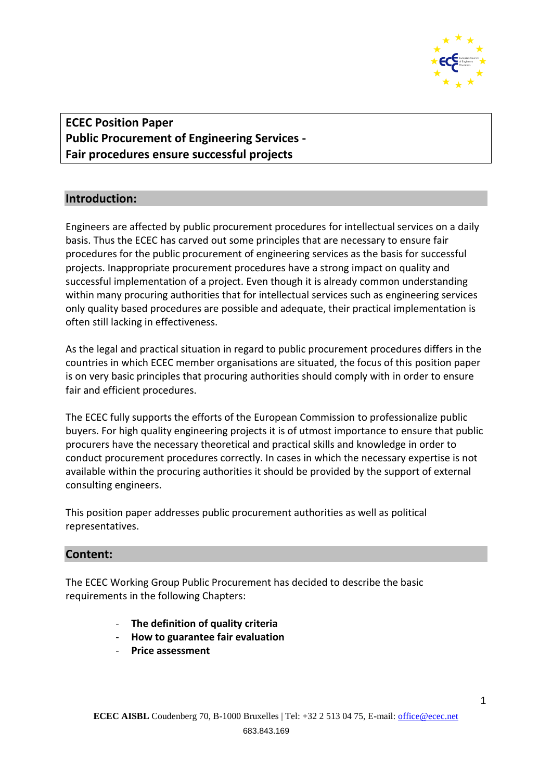

**ECEC Position Paper Public Procurement of Engineering Services - Fair procedures ensure successful projects**

# **Introduction:**

Engineers are affected by public procurement procedures for intellectual services on a daily basis. Thus the ECEC has carved out some principles that are necessary to ensure fair procedures for the public procurement of engineering services as the basis for successful projects. Inappropriate procurement procedures have a strong impact on quality and successful implementation of a project. Even though it is already common understanding within many procuring authorities that for intellectual services such as engineering services only quality based procedures are possible and adequate, their practical implementation is often still lacking in effectiveness.

As the legal and practical situation in regard to public procurement procedures differs in the countries in which ECEC member organisations are situated, the focus of this position paper is on very basic principles that procuring authorities should comply with in order to ensure fair and efficient procedures.

The ECEC fully supports the efforts of the European Commission to professionalize public buyers. For high quality engineering projects it is of utmost importance to ensure that public procurers have the necessary theoretical and practical skills and knowledge in order to conduct procurement procedures correctly. In cases in which the necessary expertise is not available within the procuring authorities it should be provided by the support of external consulting engineers.

This position paper addresses public procurement authorities as well as political representatives.

### **Content:**

The ECEC Working Group Public Procurement has decided to describe the basic requirements in the following Chapters:

- **The definition of quality criteria**
- **How to guarantee fair evaluation**
- **Price assessment**

1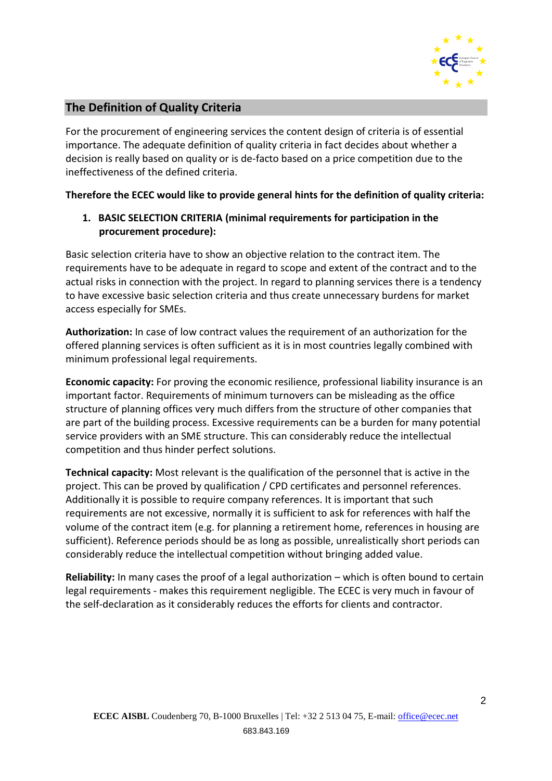

# **The Definition of Quality Criteria**

For the procurement of engineering services the content design of criteria is of essential importance. The adequate definition of quality criteria in fact decides about whether a decision is really based on quality or is de-facto based on a price competition due to the ineffectiveness of the defined criteria.

### **Therefore the ECEC would like to provide general hints for the definition of quality criteria:**

### **1. BASIC SELECTION CRITERIA (minimal requirements for participation in the procurement procedure):**

Basic selection criteria have to show an objective relation to the contract item. The requirements have to be adequate in regard to scope and extent of the contract and to the actual risks in connection with the project. In regard to planning services there is a tendency to have excessive basic selection criteria and thus create unnecessary burdens for market access especially for SMEs.

**Authorization:** In case of low contract values the requirement of an authorization for the offered planning services is often sufficient as it is in most countries legally combined with minimum professional legal requirements.

**Economic capacity:** For proving the economic resilience, professional liability insurance is an important factor. Requirements of minimum turnovers can be misleading as the office structure of planning offices very much differs from the structure of other companies that are part of the building process. Excessive requirements can be a burden for many potential service providers with an SME structure. This can considerably reduce the intellectual competition and thus hinder perfect solutions.

**Technical capacity:** Most relevant is the qualification of the personnel that is active in the project. This can be proved by qualification / CPD certificates and personnel references. Additionally it is possible to require company references. It is important that such requirements are not excessive, normally it is sufficient to ask for references with half the volume of the contract item (e.g. for planning a retirement home, references in housing are sufficient). Reference periods should be as long as possible, unrealistically short periods can considerably reduce the intellectual competition without bringing added value.

**Reliability:** In many cases the proof of a legal authorization – which is often bound to certain legal requirements - makes this requirement negligible. The ECEC is very much in favour of the self-declaration as it considerably reduces the efforts for clients and contractor.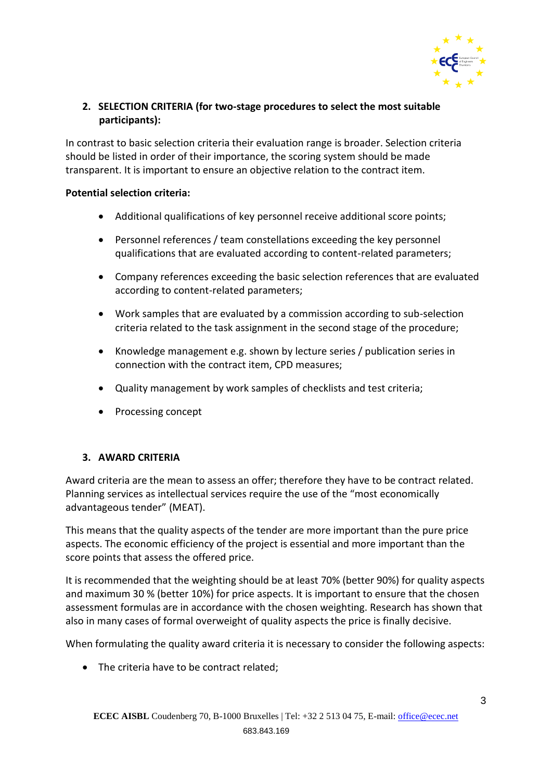

## **2. SELECTION CRITERIA (for two-stage procedures to select the most suitable participants):**

In contrast to basic selection criteria their evaluation range is broader. Selection criteria should be listed in order of their importance, the scoring system should be made transparent. It is important to ensure an objective relation to the contract item.

#### **Potential selection criteria:**

- Additional qualifications of key personnel receive additional score points;
- Personnel references / team constellations exceeding the key personnel qualifications that are evaluated according to content-related parameters;
- Company references exceeding the basic selection references that are evaluated according to content-related parameters;
- Work samples that are evaluated by a commission according to sub-selection criteria related to the task assignment in the second stage of the procedure;
- Knowledge management e.g. shown by lecture series / publication series in connection with the contract item, CPD measures;
- Quality management by work samples of checklists and test criteria;
- Processing concept

### **3. AWARD CRITERIA**

Award criteria are the mean to assess an offer; therefore they have to be contract related. Planning services as intellectual services require the use of the "most economically advantageous tender" (MEAT).

This means that the quality aspects of the tender are more important than the pure price aspects. The economic efficiency of the project is essential and more important than the score points that assess the offered price.

It is recommended that the weighting should be at least 70% (better 90%) for quality aspects and maximum 30 % (better 10%) for price aspects. It is important to ensure that the chosen assessment formulas are in accordance with the chosen weighting. Research has shown that also in many cases of formal overweight of quality aspects the price is finally decisive.

When formulating the quality award criteria it is necessary to consider the following aspects:

• The criteria have to be contract related;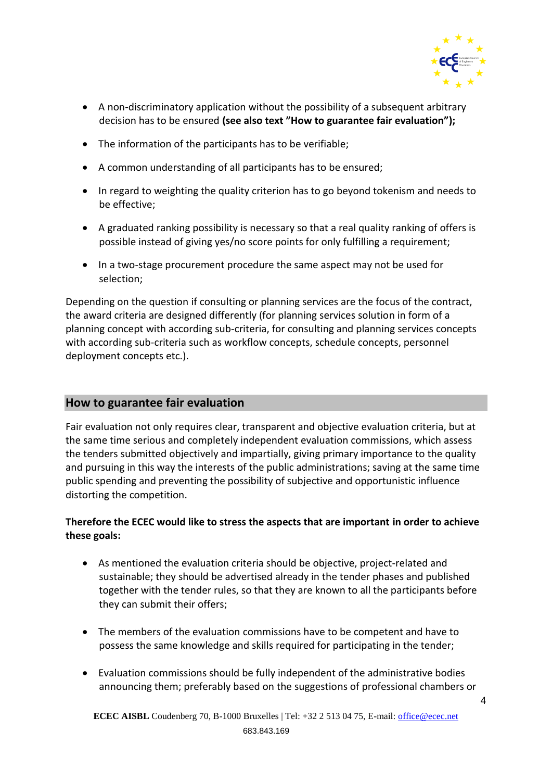

- A non-discriminatory application without the possibility of a subsequent arbitrary decision has to be ensured **(see also text "How to guarantee fair evaluation");**
- The information of the participants has to be verifiable;
- A common understanding of all participants has to be ensured;
- In regard to weighting the quality criterion has to go beyond tokenism and needs to be effective;
- A graduated ranking possibility is necessary so that a real quality ranking of offers is possible instead of giving yes/no score points for only fulfilling a requirement;
- In a two-stage procurement procedure the same aspect may not be used for selection;

Depending on the question if consulting or planning services are the focus of the contract, the award criteria are designed differently (for planning services solution in form of a planning concept with according sub-criteria, for consulting and planning services concepts with according sub-criteria such as workflow concepts, schedule concepts, personnel deployment concepts etc.).

### **How to guarantee fair evaluation**

Fair evaluation not only requires clear, transparent and objective evaluation criteria, but at the same time serious and completely independent evaluation commissions, which assess the tenders submitted objectively and impartially, giving primary importance to the quality and pursuing in this way the interests of the public administrations; saving at the same time public spending and preventing the possibility of subjective and opportunistic influence distorting the competition.

### **Therefore the ECEC would like to stress the aspects that are important in order to achieve these goals:**

- As mentioned the evaluation criteria should be objective, project-related and sustainable; they should be advertised already in the tender phases and published together with the tender rules, so that they are known to all the participants before they can submit their offers;
- The members of the evaluation commissions have to be competent and have to possess the same knowledge and skills required for participating in the tender;
- Evaluation commissions should be fully independent of the administrative bodies announcing them; preferably based on the suggestions of professional chambers or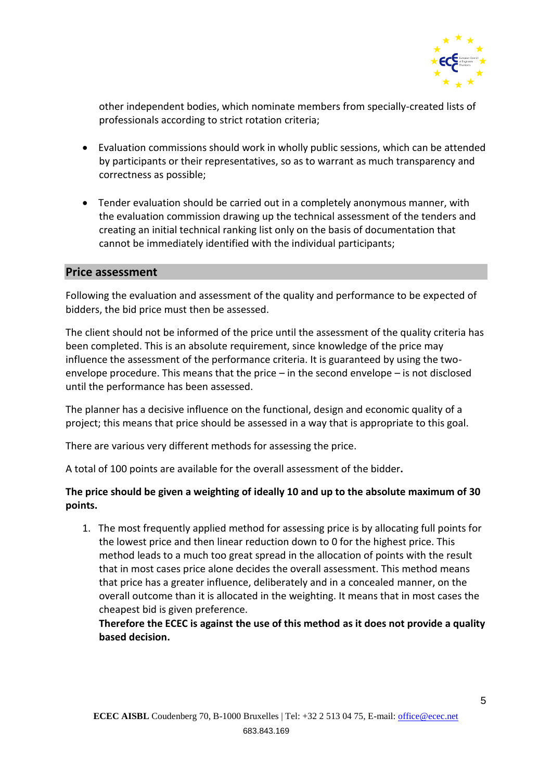

other independent bodies, which nominate members from specially-created lists of professionals according to strict rotation criteria;

- Evaluation commissions should work in wholly public sessions, which can be attended by participants or their representatives, so as to warrant as much transparency and correctness as possible;
- Tender evaluation should be carried out in a completely anonymous manner, with the evaluation commission drawing up the technical assessment of the tenders and creating an initial technical ranking list only on the basis of documentation that cannot be immediately identified with the individual participants;

#### **Price assessment**

Following the evaluation and assessment of the quality and performance to be expected of bidders, the bid price must then be assessed.

The client should not be informed of the price until the assessment of the quality criteria has been completed. This is an absolute requirement, since knowledge of the price may influence the assessment of the performance criteria. It is guaranteed by using the twoenvelope procedure. This means that the price – in the second envelope – is not disclosed until the performance has been assessed.

The planner has a decisive influence on the functional, design and economic quality of a project; this means that price should be assessed in a way that is appropriate to this goal.

There are various very different methods for assessing the price.

A total of 100 points are available for the overall assessment of the bidder**.** 

### **The price should be given a weighting of ideally 10 and up to the absolute maximum of 30 points.**

1. The most frequently applied method for assessing price is by allocating full points for the lowest price and then linear reduction down to 0 for the highest price. This method leads to a much too great spread in the allocation of points with the result that in most cases price alone decides the overall assessment. This method means that price has a greater influence, deliberately and in a concealed manner, on the overall outcome than it is allocated in the weighting. It means that in most cases the cheapest bid is given preference.

**Therefore the ECEC is against the use of this method as it does not provide a quality based decision.**